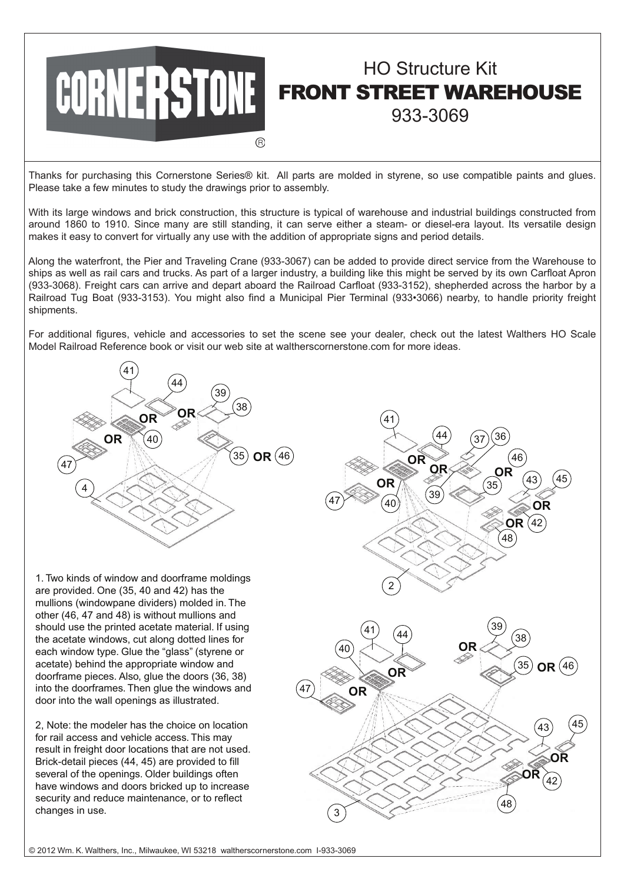

## HO Structure Kit FRONT STREET WAREHOUSE 933-3069

Thanks for purchasing this Cornerstone Series® kit. All parts are molded in styrene, so use compatible paints and glues. Please take a few minutes to study the drawings prior to assembly.

With its large windows and brick construction, this structure is typical of warehouse and industrial buildings constructed from around 1860 to 1910. Since many are still standing, it can serve either a steam- or diesel-era layout. Its versatile design makes it easy to convert for virtually any use with the addition of appropriate signs and period details.

Along the waterfront, the Pier and Traveling Crane (933-3067) can be added to provide direct service from the Warehouse to ships as well as rail cars and trucks. As part of a larger industry, a building like this might be served by its own Carfloat Apron (933-3068). Freight cars can arrive and depart aboard the Railroad Carfloat (933-3152), shepherded across the harbor by a Railroad Tug Boat (933-3153). You might also find a Municipal Pier Terminal (933•3066) nearby, to handle priority freight shipments.

For additional figures, vehicle and accessories to set the scene see your dealer, check out the latest Walthers HO Scale Model Railroad Reference book or visit our web site at waltherscornerstone.com for more ideas.



1. Two kinds of window and doorframe moldings are provided. One (35, 40 and 42) has the mullions (windowpane dividers) molded in. The other (46, 47 and 48) is without mullions and should use the printed acetate material. If using the acetate windows, cut along dotted lines for each window type. Glue the "glass" (styrene or acetate) behind the appropriate window and doorframe pieces. Also, glue the doors (36, 38) into the doorframes. Then glue the windows and door into the wall openings as illustrated.

2, Note: the modeler has the choice on location for rail access and vehicle access. This may result in freight door locations that are not used. Brick-detail pieces (44, 45) are provided to fill several of the openings. Older buildings often have windows and doors bricked up to increase security and reduce maintenance, or to reflect changes in use.